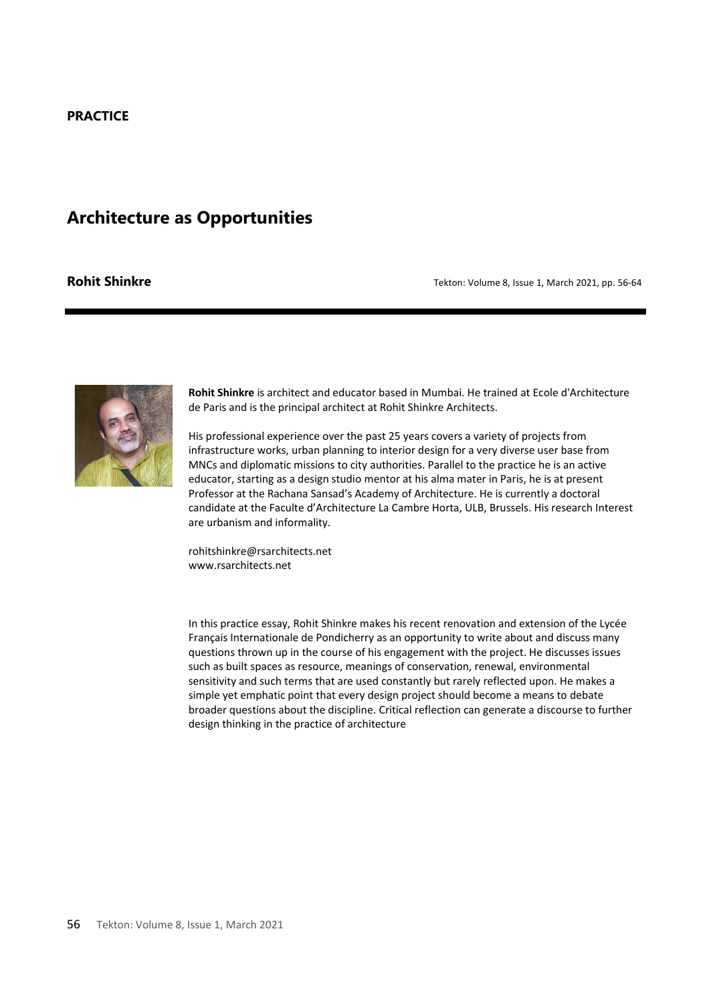## **PRACTICE**

# **Architecture as Opportunities**

**Rohit Shinkre** *Rohit Shinkre Tekton: Volume 8, Issue 1, March 2021, pp. 56-64* 



**Rohit Shinkre** is architect and educator based in Mumbai. He trained at Ecole d'Architecture de Paris and is the principal architect at Rohit Shinkre Architects.

His professional experience over the past 25 years covers a variety of projects from infrastructure works, urban planning to interior design for a very diverse user base from MNCs and diplomatic missions to city authorities. Parallel to the practice he is an active educator, starting as a design studio mentor at his alma mater in Paris, he is at present Professor at the Rachana Sansad's Academy of Architecture. He is currently a doctoral candidate at the Faculte d'Architecture La Cambre Horta, ULB, Brussels. His research Interest are urbanism and informality.

rohitshinkre@rsarchitects.net www.rsarchitects.net

In this practice essay, Rohit Shinkre makes his recent renovation and extension of the Lycée Français Internationale de Pondicherry as an opportunity to write about and discuss many questions thrown up in the course of his engagement with the project. He discusses issues such as built spaces as resource, meanings of conservation, renewal, environmental sensitivity and such terms that are used constantly but rarely reflected upon. He makes a simple yet emphatic point that every design project should become a means to debate broader questions about the discipline. Critical reflection can generate a discourse to further design thinking in the practice of architecture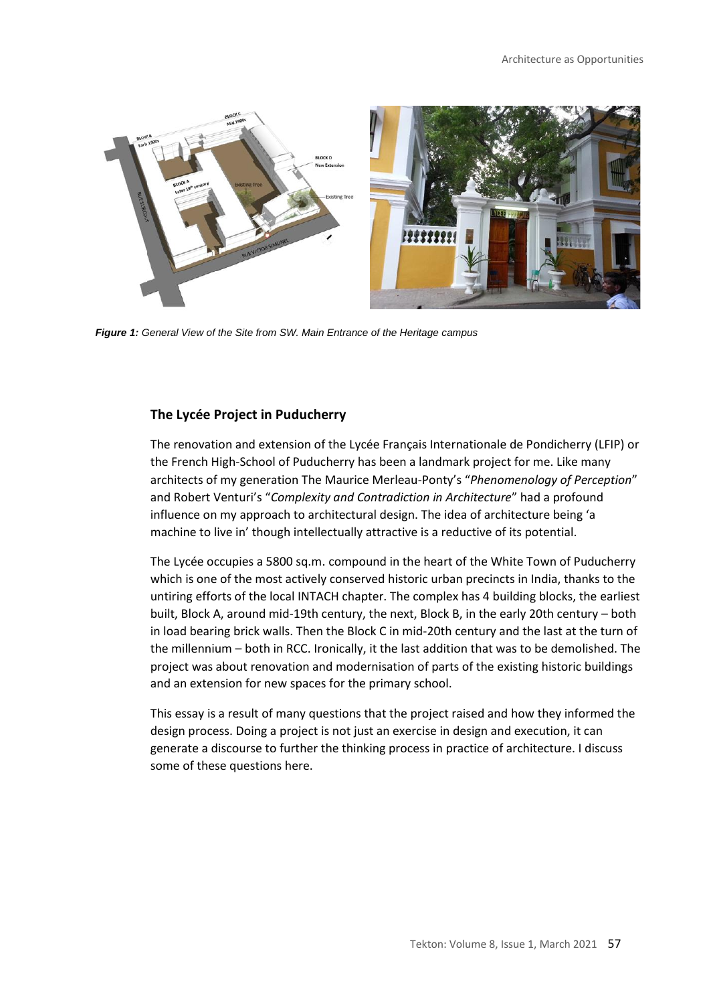

*Figure 1: General View of the Site from SW. Main Entrance of the Heritage campus*

#### **The Lycée Project in Puducherry**

The renovation and extension of the Lycée Français Internationale de Pondicherry (LFIP) or the French High-School of Puducherry has been a landmark project for me. Like many architects of my generation The Maurice Merleau-Ponty's "*Phenomenology of Perception*" and Robert Venturi's "*Complexity and Contradiction in Architecture*" had a profound influence on my approach to architectural design. The idea of architecture being 'a machine to live in' though intellectually attractive is a reductive of its potential.

The Lycée occupies a 5800 sq.m. compound in the heart of the White Town of Puducherry which is one of the most actively conserved historic urban precincts in India, thanks to the untiring efforts of the local INTACH chapter. The complex has 4 building blocks, the earliest built, Block A, around mid-19th century, the next, Block B, in the early 20th century – both in load bearing brick walls. Then the Block C in mid-20th century and the last at the turn of the millennium – both in RCC. Ironically, it the last addition that was to be demolished. The project was about renovation and modernisation of parts of the existing historic buildings and an extension for new spaces for the primary school.

This essay is a result of many questions that the project raised and how they informed the design process. Doing a project is not just an exercise in design and execution, it can generate a discourse to further the thinking process in practice of architecture. I discuss some of these questions here.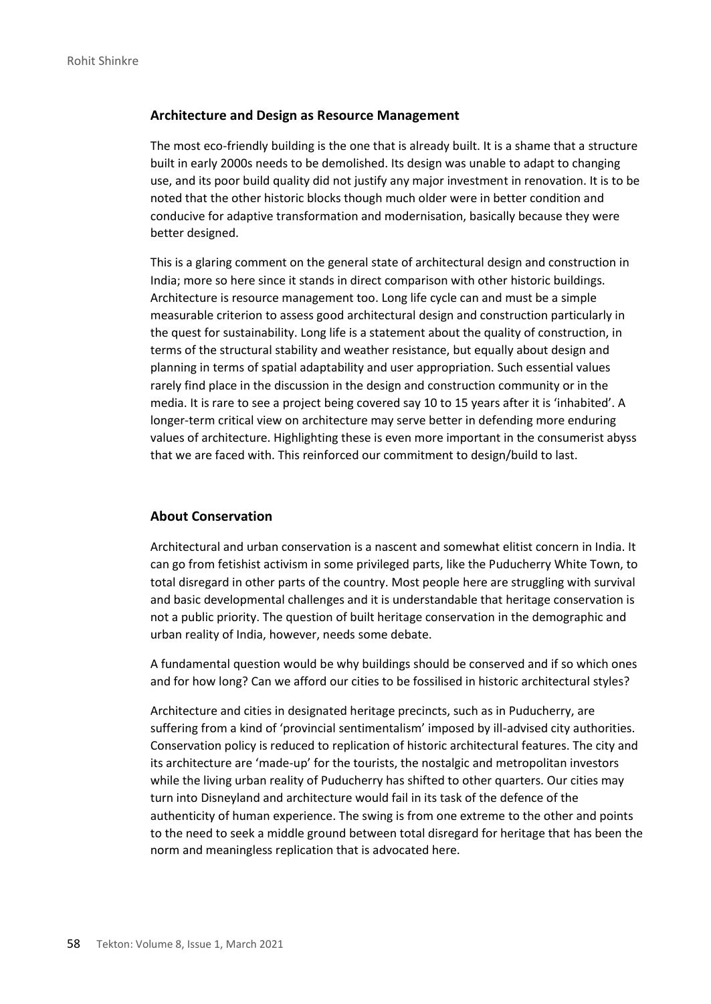#### **Architecture and Design as Resource Management**

The most eco-friendly building is the one that is already built. It is a shame that a structure built in early 2000s needs to be demolished. Its design was unable to adapt to changing use, and its poor build quality did not justify any major investment in renovation. It is to be noted that the other historic blocks though much older were in better condition and conducive for adaptive transformation and modernisation, basically because they were better designed.

This is a glaring comment on the general state of architectural design and construction in India; more so here since it stands in direct comparison with other historic buildings. Architecture is resource management too. Long life cycle can and must be a simple measurable criterion to assess good architectural design and construction particularly in the quest for sustainability. Long life is a statement about the quality of construction, in terms of the structural stability and weather resistance, but equally about design and planning in terms of spatial adaptability and user appropriation. Such essential values rarely find place in the discussion in the design and construction community or in the media. It is rare to see a project being covered say 10 to 15 years after it is 'inhabited'. A longer-term critical view on architecture may serve better in defending more enduring values of architecture. Highlighting these is even more important in the consumerist abyss that we are faced with. This reinforced our commitment to design/build to last.

# **About Conservation**

Architectural and urban conservation is a nascent and somewhat elitist concern in India. It can go from fetishist activism in some privileged parts, like the Puducherry White Town, to total disregard in other parts of the country. Most people here are struggling with survival and basic developmental challenges and it is understandable that heritage conservation is not a public priority. The question of built heritage conservation in the demographic and urban reality of India, however, needs some debate.

A fundamental question would be why buildings should be conserved and if so which ones and for how long? Can we afford our cities to be fossilised in historic architectural styles?

Architecture and cities in designated heritage precincts, such as in Puducherry, are suffering from a kind of 'provincial sentimentalism' imposed by ill-advised city authorities. Conservation policy is reduced to replication of historic architectural features. The city and its architecture are 'made-up' for the tourists, the nostalgic and metropolitan investors while the living urban reality of Puducherry has shifted to other quarters. Our cities may turn into Disneyland and architecture would fail in its task of the defence of the authenticity of human experience. The swing is from one extreme to the other and points to the need to seek a middle ground between total disregard for heritage that has been the norm and meaningless replication that is advocated here.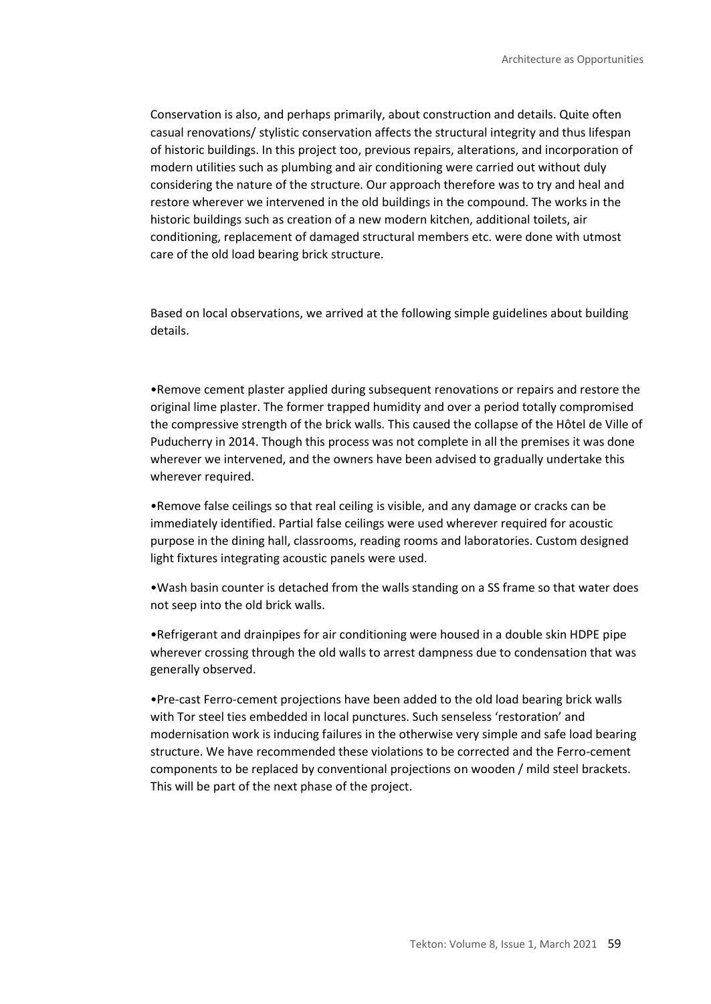Conservation is also, and perhaps primarily, about construction and details. Quite often casual renovations/ stylistic conservation affects the structural integrity and thus lifespan of historic buildings. In this project too, previous repairs, alterations, and incorporation of modern utilities such as plumbing and air conditioning were carried out without duly considering the nature of the structure. Our approach therefore was to try and heal and restore wherever we intervened in the old buildings in the compound. The works in the historic buildings such as creation of a new modern kitchen, additional toilets, air conditioning, replacement of damaged structural members etc. were done with utmost care of the old load bearing brick structure.

Based on local observations, we arrived at the following simple guidelines about building details.

•Remove cement plaster applied during subsequent renovations or repairs and restore the original lime plaster. The former trapped humidity and over a period totally compromised the compressive strength of the brick walls. This caused the collapse of the Hôtel de Ville of Puducherry in 2014. Though this process was not complete in all the premises it was done wherever we intervened, and the owners have been advised to gradually undertake this wherever required.

•Remove false ceilings so that real ceiling is visible, and any damage or cracks can be immediately identified. Partial false ceilings were used wherever required for acoustic purpose in the dining hall, classrooms, reading rooms and laboratories. Custom designed light fixtures integrating acoustic panels were used.

•Wash basin counter is detached from the walls standing on a SS frame so that water does not seep into the old brick walls.

•Refrigerant and drainpipes for air conditioning were housed in a double skin HDPE pipe wherever crossing through the old walls to arrest dampness due to condensation that was generally observed.

•Pre-cast Ferro-cement projections have been added to the old load bearing brick walls with Tor steel ties embedded in local punctures. Such senseless 'restoration' and modernisation work is inducing failures in the otherwise very simple and safe load bearing structure. We have recommended these violations to be corrected and the Ferro-cement components to be replaced by conventional projections on wooden / mild steel brackets. This will be part of the next phase of the project.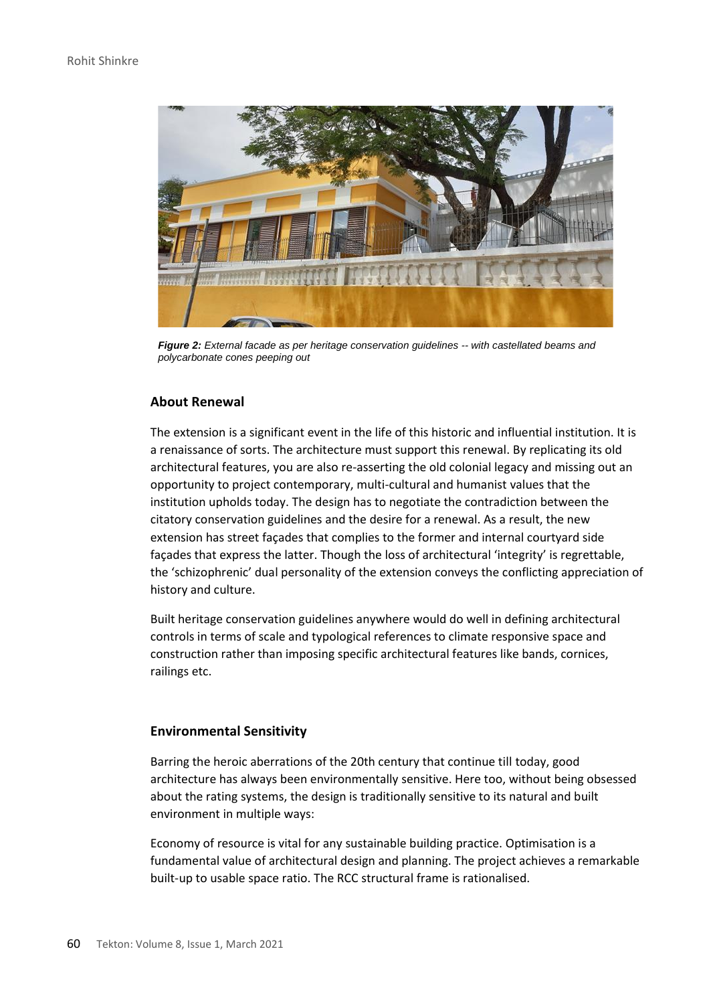

*Figure 2: External facade as per heritage conservation guidelines -- with castellated beams and polycarbonate cones peeping out*

# **About Renewal**

The extension is a significant event in the life of this historic and influential institution. It is a renaissance of sorts. The architecture must support this renewal. By replicating its old architectural features, you are also re-asserting the old colonial legacy and missing out an opportunity to project contemporary, multi-cultural and humanist values that the institution upholds today. The design has to negotiate the contradiction between the citatory conservation guidelines and the desire for a renewal. As a result, the new extension has street façades that complies to the former and internal courtyard side façades that express the latter. Though the loss of architectural 'integrity' is regrettable, the 'schizophrenic' dual personality of the extension conveys the conflicting appreciation of history and culture.

Built heritage conservation guidelines anywhere would do well in defining architectural controls in terms of scale and typological references to climate responsive space and construction rather than imposing specific architectural features like bands, cornices, railings etc.

#### **Environmental Sensitivity**

Barring the heroic aberrations of the 20th century that continue till today, good architecture has always been environmentally sensitive. Here too, without being obsessed about the rating systems, the design is traditionally sensitive to its natural and built environment in multiple ways:

Economy of resource is vital for any sustainable building practice. Optimisation is a fundamental value of architectural design and planning. The project achieves a remarkable built-up to usable space ratio. The RCC structural frame is rationalised.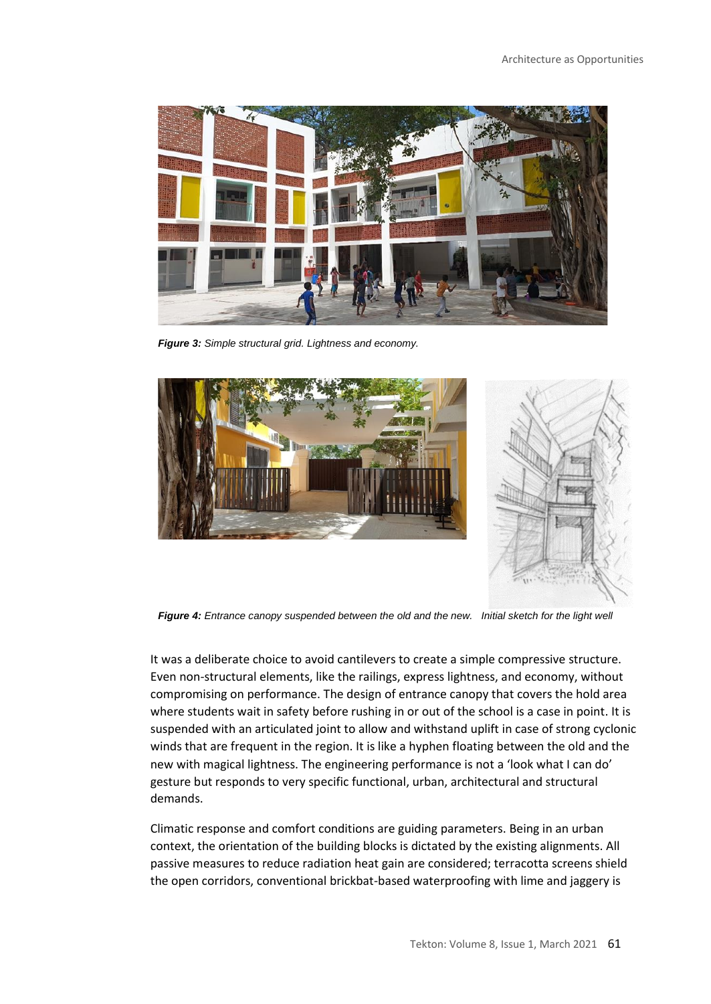

*Figure 3: Simple structural grid. Lightness and economy.*





*Figure 4: Entrance canopy suspended between the old and the new. Initial sketch for the light well*

It was a deliberate choice to avoid cantilevers to create a simple compressive structure. Even non-structural elements, like the railings, express lightness, and economy, without compromising on performance. The design of entrance canopy that covers the hold area where students wait in safety before rushing in or out of the school is a case in point. It is suspended with an articulated joint to allow and withstand uplift in case of strong cyclonic winds that are frequent in the region. It is like a hyphen floating between the old and the new with magical lightness. The engineering performance is not a 'look what I can do' gesture but responds to very specific functional, urban, architectural and structural demands.

Climatic response and comfort conditions are guiding parameters. Being in an urban context, the orientation of the building blocks is dictated by the existing alignments. All passive measures to reduce radiation heat gain are considered; terracotta screens shield the open corridors, conventional brickbat-based waterproofing with lime and jaggery is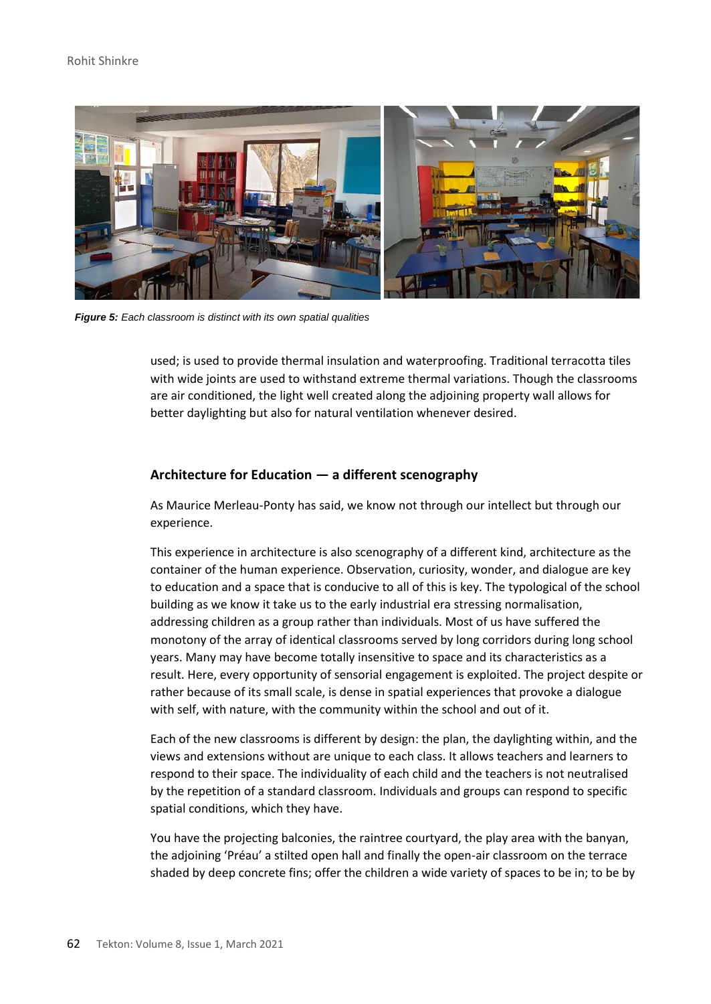### Rohit Shinkre



*Figure 5: Each classroom is distinct with its own spatial qualities*

used; is used to provide thermal insulation and waterproofing. Traditional terracotta tiles with wide joints are used to withstand extreme thermal variations. Though the classrooms are air conditioned, the light well created along the adjoining property wall allows for better daylighting but also for natural ventilation whenever desired.

# **Architecture for Education — a different scenography**

As Maurice Merleau-Ponty has said, we know not through our intellect but through our experience.

This experience in architecture is also scenography of a different kind, architecture as the container of the human experience. Observation, curiosity, wonder, and dialogue are key to education and a space that is conducive to all of this is key. The typological of the school building as we know it take us to the early industrial era stressing normalisation, addressing children as a group rather than individuals. Most of us have suffered the monotony of the array of identical classrooms served by long corridors during long school years. Many may have become totally insensitive to space and its characteristics as a result. Here, every opportunity of sensorial engagement is exploited. The project despite or rather because of its small scale, is dense in spatial experiences that provoke a dialogue with self, with nature, with the community within the school and out of it.

Each of the new classrooms is different by design: the plan, the daylighting within, and the views and extensions without are unique to each class. It allows teachers and learners to respond to their space. The individuality of each child and the teachers is not neutralised by the repetition of a standard classroom. Individuals and groups can respond to specific spatial conditions, which they have.

You have the projecting balconies, the raintree courtyard, the play area with the banyan, the adjoining 'Préau' a stilted open hall and finally the open-air classroom on the terrace shaded by deep concrete fins; offer the children a wide variety of spaces to be in; to be by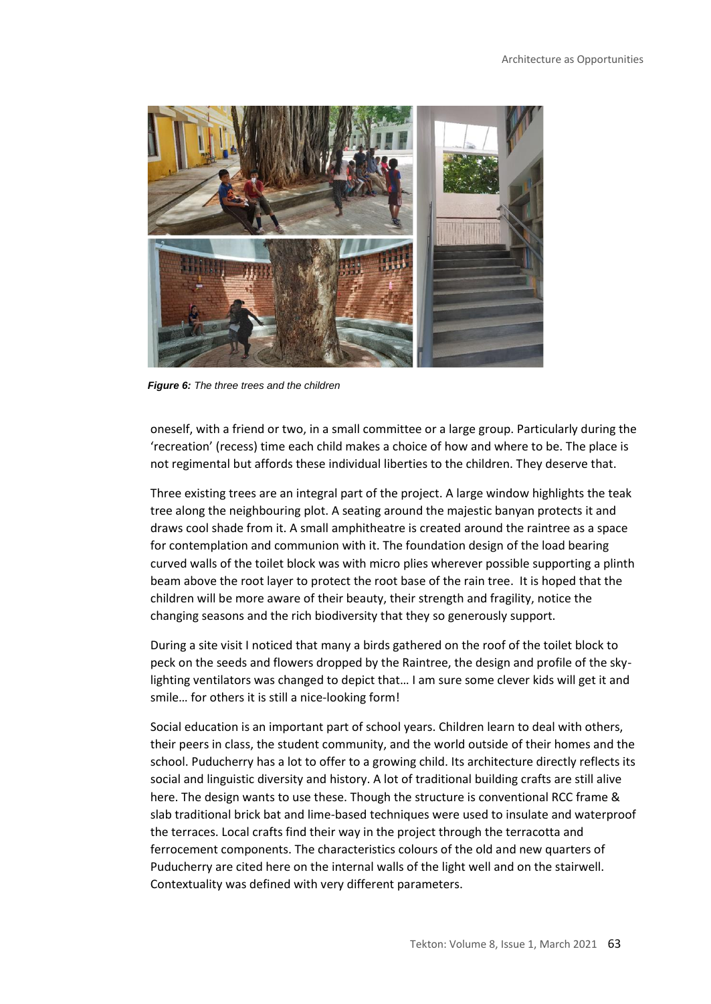

*Figure 6: The three trees and the children*

oneself, with a friend or two, in a small committee or a large group. Particularly during the 'recreation' (recess) time each child makes a choice of how and where to be. The place is not regimental but affords these individual liberties to the children. They deserve that.

Three existing trees are an integral part of the project. A large window highlights the teak tree along the neighbouring plot. A seating around the majestic banyan protects it and draws cool shade from it. A small amphitheatre is created around the raintree as a space for contemplation and communion with it. The foundation design of the load bearing curved walls of the toilet block was with micro plies wherever possible supporting a plinth beam above the root layer to protect the root base of the rain tree. It is hoped that the children will be more aware of their beauty, their strength and fragility, notice the changing seasons and the rich biodiversity that they so generously support.

During a site visit I noticed that many a birds gathered on the roof of the toilet block to peck on the seeds and flowers dropped by the Raintree, the design and profile of the skylighting ventilators was changed to depict that… I am sure some clever kids will get it and smile… for others it is still a nice-looking form!

Social education is an important part of school years. Children learn to deal with others, their peers in class, the student community, and the world outside of their homes and the school. Puducherry has a lot to offer to a growing child. Its architecture directly reflects its social and linguistic diversity and history. A lot of traditional building crafts are still alive here. The design wants to use these. Though the structure is conventional RCC frame & slab traditional brick bat and lime-based techniques were used to insulate and waterproof the terraces. Local crafts find their way in the project through the terracotta and ferrocement components. The characteristics colours of the old and new quarters of Puducherry are cited here on the internal walls of the light well and on the stairwell. Contextuality was defined with very different parameters.